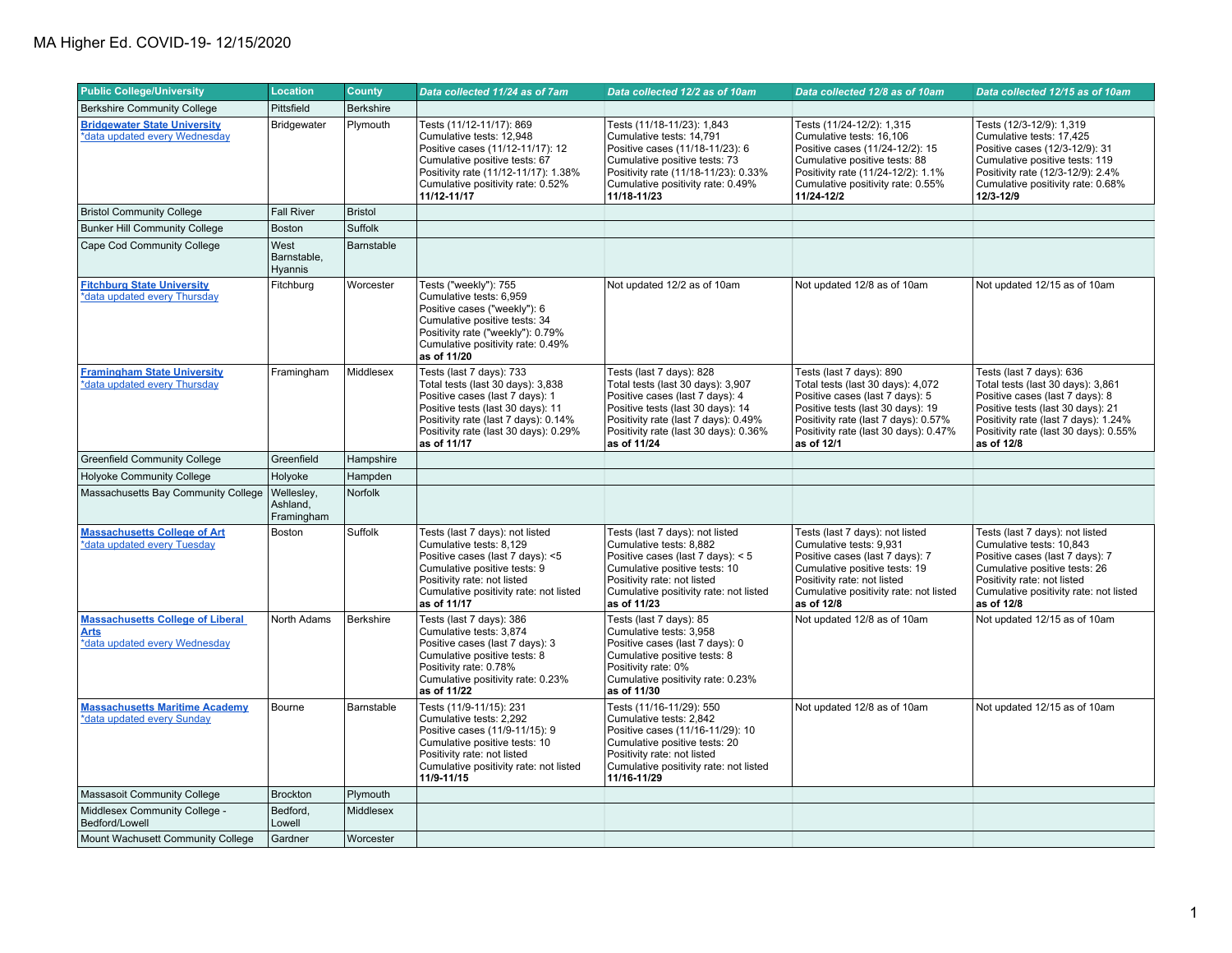| <b>Public College/University</b>                                                        | <b>Location</b>                      | <b>County</b>    | Data collected 11/24 as of 7am                                                                                                                                                                                                        | Data collected 12/2 as of 10am                                                                                                                                                                                                        | Data collected 12/8 as of 10am                                                                                                                                                                                                       | Data collected 12/15 as of 10am                                                                                                                                                                                                      |
|-----------------------------------------------------------------------------------------|--------------------------------------|------------------|---------------------------------------------------------------------------------------------------------------------------------------------------------------------------------------------------------------------------------------|---------------------------------------------------------------------------------------------------------------------------------------------------------------------------------------------------------------------------------------|--------------------------------------------------------------------------------------------------------------------------------------------------------------------------------------------------------------------------------------|--------------------------------------------------------------------------------------------------------------------------------------------------------------------------------------------------------------------------------------|
| Berkshire Community College                                                             | Pittsfield                           | <b>Berkshire</b> |                                                                                                                                                                                                                                       |                                                                                                                                                                                                                                       |                                                                                                                                                                                                                                      |                                                                                                                                                                                                                                      |
| <b>Bridgewater State University</b><br>*data updated every Wednesday                    | Bridgewater                          | Plymouth         | Tests (11/12-11/17): 869<br>Cumulative tests: 12,948<br>Positive cases (11/12-11/17): 12<br>Cumulative positive tests: 67<br>Positivity rate (11/12-11/17): 1.38%<br>Cumulative positivity rate: 0.52%<br>11/12-11/17                 | Tests (11/18-11/23): 1,843<br>Cumulative tests: 14,791<br>Positive cases (11/18-11/23): 6<br>Cumulative positive tests: 73<br>Positivity rate (11/18-11/23): 0.33%<br>Cumulative positivity rate: 0.49%<br>11/18-11/23                | Tests (11/24-12/2): 1,315<br>Cumulative tests: 16,106<br>Positive cases (11/24-12/2): 15<br>Cumulative positive tests: 88<br>Positivity rate (11/24-12/2): 1.1%<br>Cumulative positivity rate: 0.55%<br>11/24-12/2                   | Tests (12/3-12/9): 1,319<br>Cumulative tests: 17,425<br>Positive cases (12/3-12/9): 31<br>Cumulative positive tests: 119<br>Positivity rate (12/3-12/9): 2.4%<br>Cumulative positivity rate: 0.68%<br>12/3-12/9                      |
| <b>Bristol Community College</b>                                                        | <b>Fall River</b>                    | <b>Bristol</b>   |                                                                                                                                                                                                                                       |                                                                                                                                                                                                                                       |                                                                                                                                                                                                                                      |                                                                                                                                                                                                                                      |
| <b>Bunker Hill Community College</b>                                                    | <b>Boston</b>                        | Suffolk          |                                                                                                                                                                                                                                       |                                                                                                                                                                                                                                       |                                                                                                                                                                                                                                      |                                                                                                                                                                                                                                      |
| Cape Cod Community College                                                              | West<br>Barnstable,<br>Hyannis       | Barnstable       |                                                                                                                                                                                                                                       |                                                                                                                                                                                                                                       |                                                                                                                                                                                                                                      |                                                                                                                                                                                                                                      |
| <b>Fitchburg State University</b><br>*data updated every Thursday                       | Fitchburg                            | Worcester        | Tests ("weekly"): 755<br>Cumulative tests: 6,959<br>Positive cases ("weekly"): 6<br>Cumulative positive tests: 34<br>Positivity rate ("weekly"): 0.79%<br>Cumulative positivity rate: 0.49%<br>as of 11/20                            | Not updated 12/2 as of 10am                                                                                                                                                                                                           | Not updated 12/8 as of 10am                                                                                                                                                                                                          | Not updated 12/15 as of 10am                                                                                                                                                                                                         |
| <b>Framingham State University</b><br>*data updated every Thursday                      | Framingham                           | Middlesex        | Tests (last 7 days): 733<br>Total tests (last 30 days): 3,838<br>Positive cases (last 7 days): 1<br>Positive tests (last 30 days): 11<br>Positivity rate (last 7 days): 0.14%<br>Positivity rate (last 30 days): 0.29%<br>as of 11/17 | Tests (last 7 days): 828<br>Total tests (last 30 days): 3,907<br>Positive cases (last 7 days): 4<br>Positive tests (last 30 days): 14<br>Positivity rate (last 7 days): 0.49%<br>Positivity rate (last 30 days): 0.36%<br>as of 11/24 | Tests (last 7 days): 890<br>Total tests (last 30 days): 4,072<br>Positive cases (last 7 days): 5<br>Positive tests (last 30 days): 19<br>Positivity rate (last 7 days): 0.57%<br>Positivity rate (last 30 days): 0.47%<br>as of 12/1 | Tests (last 7 days): 636<br>Total tests (last 30 days): 3,861<br>Positive cases (last 7 days): 8<br>Positive tests (last 30 days): 21<br>Positivity rate (last 7 days): 1.24%<br>Positivity rate (last 30 days): 0.55%<br>as of 12/8 |
| <b>Greenfield Community College</b>                                                     | Greenfield                           | Hampshire        |                                                                                                                                                                                                                                       |                                                                                                                                                                                                                                       |                                                                                                                                                                                                                                      |                                                                                                                                                                                                                                      |
| <b>Holyoke Community College</b>                                                        | Holyoke                              | Hampden          |                                                                                                                                                                                                                                       |                                                                                                                                                                                                                                       |                                                                                                                                                                                                                                      |                                                                                                                                                                                                                                      |
| Massachusetts Bay Community College                                                     | Wellesley,<br>Ashland,<br>Framingham | <b>Norfolk</b>   |                                                                                                                                                                                                                                       |                                                                                                                                                                                                                                       |                                                                                                                                                                                                                                      |                                                                                                                                                                                                                                      |
| <b>Massachusetts College of Art</b><br>*data updated every Tuesday                      | <b>Boston</b>                        | Suffolk          | Tests (last 7 days): not listed<br>Cumulative tests: 8,129<br>Positive cases (last 7 days): <5<br>Cumulative positive tests: 9<br>Positivity rate: not listed<br>Cumulative positivity rate: not listed<br>as of 11/17                | Tests (last 7 days): not listed<br>Cumulative tests: 8,882<br>Positive cases (last 7 days): < 5<br>Cumulative positive tests: 10<br>Positivity rate: not listed<br>Cumulative positivity rate: not listed<br>as of 11/23              | Tests (last 7 days): not listed<br>Cumulative tests: 9,931<br>Positive cases (last 7 days): 7<br>Cumulative positive tests: 19<br>Positivity rate: not listed<br>Cumulative positivity rate: not listed<br>as of 12/8                | Tests (last 7 days): not listed<br>Cumulative tests: 10,843<br>Positive cases (last 7 days): 7<br>Cumulative positive tests: 26<br>Positivity rate: not listed<br>Cumulative positivity rate: not listed<br>as of 12/8               |
| <b>Massachusetts College of Liberal</b><br><b>Arts</b><br>*data updated every Wednesday | North Adams                          | <b>Berkshire</b> | Tests (last 7 days): 386<br>Cumulative tests: 3,874<br>Positive cases (last 7 days): 3<br>Cumulative positive tests: 8<br>Positivity rate: 0.78%<br>Cumulative positivity rate: 0.23%<br>as of 11/22                                  | Tests (last 7 days): 85<br>Cumulative tests: 3,958<br>Positive cases (last 7 days): 0<br>Cumulative positive tests: 8<br>Positivity rate: 0%<br>Cumulative positivity rate: 0.23%<br>as of 11/30                                      | Not updated 12/8 as of 10am                                                                                                                                                                                                          | Not updated 12/15 as of 10am                                                                                                                                                                                                         |
| <b>Massachusetts Maritime Academy</b><br>*data updated every Sunday                     | Bourne                               | Barnstable       | Tests (11/9-11/15): 231<br>Cumulative tests: 2,292<br>Positive cases (11/9-11/15): 9<br>Cumulative positive tests: 10<br>Positivity rate: not listed<br>Cumulative positivity rate: not listed<br>11/9-11/15                          | Tests (11/16-11/29): 550<br>Cumulative tests: 2,842<br>Positive cases (11/16-11/29): 10<br>Cumulative positive tests: 20<br>Positivity rate: not listed<br>Cumulative positivity rate: not listed<br>11/16-11/29                      | Not updated 12/8 as of 10am                                                                                                                                                                                                          | Not updated 12/15 as of 10am                                                                                                                                                                                                         |
| Massasoit Community College                                                             | Brockton                             | Plymouth         |                                                                                                                                                                                                                                       |                                                                                                                                                                                                                                       |                                                                                                                                                                                                                                      |                                                                                                                                                                                                                                      |
| Middlesex Community College -<br>Bedford/Lowell                                         | Bedford,<br>Lowell                   | Middlesex        |                                                                                                                                                                                                                                       |                                                                                                                                                                                                                                       |                                                                                                                                                                                                                                      |                                                                                                                                                                                                                                      |
| Mount Wachusett Community College                                                       | Gardner                              | Worcester        |                                                                                                                                                                                                                                       |                                                                                                                                                                                                                                       |                                                                                                                                                                                                                                      |                                                                                                                                                                                                                                      |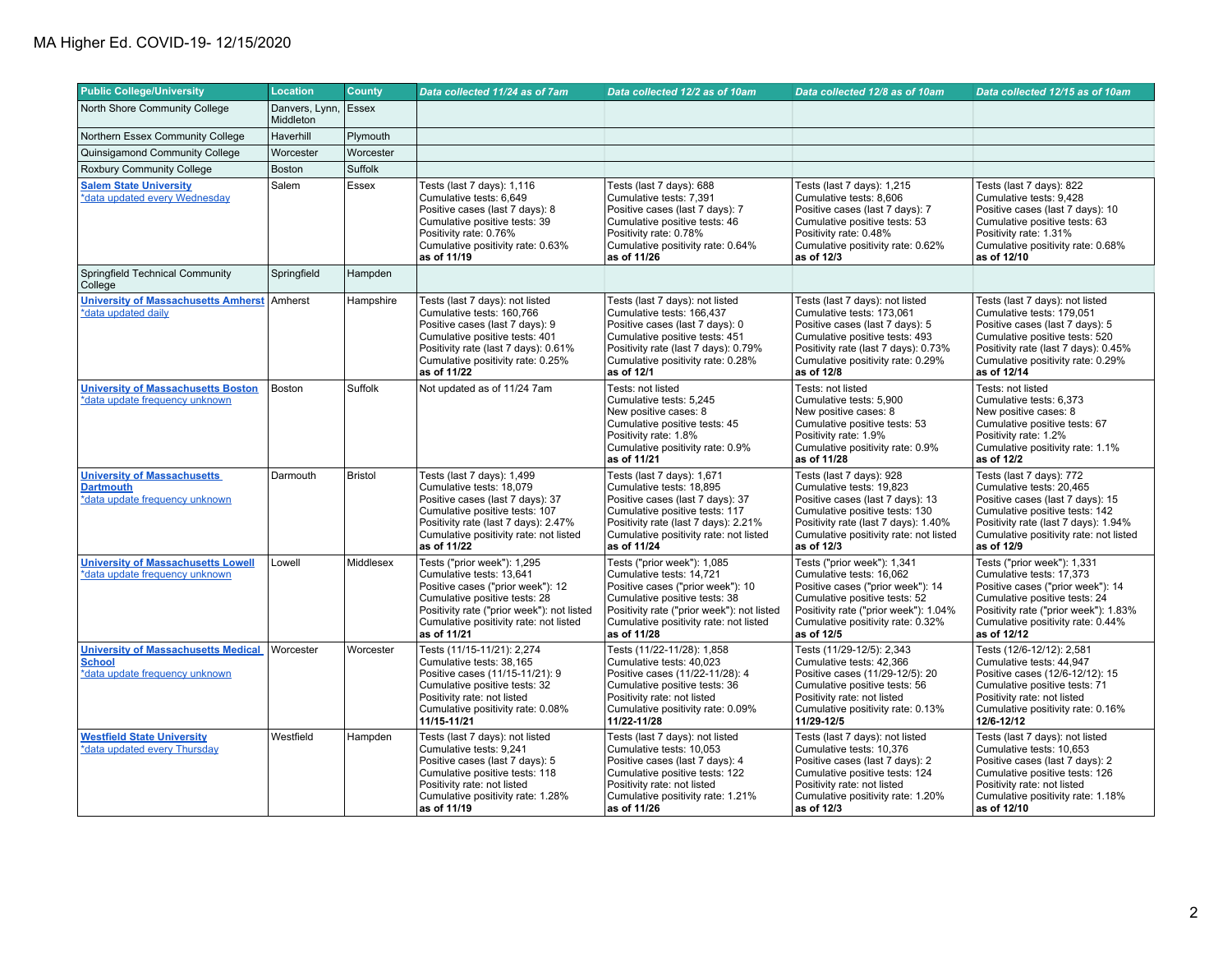| <b>Public College/University</b>                                                              | <b>Location</b>             | <b>County</b>  | Data collected 11/24 as of 7am                                                                                                                                                                                                       | Data collected 12/2 as of 10am                                                                                                                                                                                                       | Data collected 12/8 as of 10am                                                                                                                                                                                               | Data collected 12/15 as of 10am                                                                                                                                                                                               |
|-----------------------------------------------------------------------------------------------|-----------------------------|----------------|--------------------------------------------------------------------------------------------------------------------------------------------------------------------------------------------------------------------------------------|--------------------------------------------------------------------------------------------------------------------------------------------------------------------------------------------------------------------------------------|------------------------------------------------------------------------------------------------------------------------------------------------------------------------------------------------------------------------------|-------------------------------------------------------------------------------------------------------------------------------------------------------------------------------------------------------------------------------|
| North Shore Community College                                                                 | Danvers, Lynn,<br>Middleton | Essex          |                                                                                                                                                                                                                                      |                                                                                                                                                                                                                                      |                                                                                                                                                                                                                              |                                                                                                                                                                                                                               |
| Northern Essex Community College                                                              | Haverhill                   | Plymouth       |                                                                                                                                                                                                                                      |                                                                                                                                                                                                                                      |                                                                                                                                                                                                                              |                                                                                                                                                                                                                               |
| Quinsigamond Community College                                                                | Worcester                   | Worcester      |                                                                                                                                                                                                                                      |                                                                                                                                                                                                                                      |                                                                                                                                                                                                                              |                                                                                                                                                                                                                               |
| Roxbury Community College                                                                     | Boston                      | Suffolk        |                                                                                                                                                                                                                                      |                                                                                                                                                                                                                                      |                                                                                                                                                                                                                              |                                                                                                                                                                                                                               |
| <b>Salem State University</b><br>*data updated every Wednesday                                | Salem                       | Essex          | Tests (last 7 days): 1,116<br>Cumulative tests: 6,649<br>Positive cases (last 7 days): 8<br>Cumulative positive tests: 39<br>Positivity rate: 0.76%<br>Cumulative positivity rate: 0.63%<br>as of 11/19                              | Tests (last 7 days): 688<br>Cumulative tests: 7,391<br>Positive cases (last 7 days): 7<br>Cumulative positive tests: 46<br>Positivity rate: 0.78%<br>Cumulative positivity rate: 0.64%<br>as of 11/26                                | Tests (last 7 days): 1,215<br>Cumulative tests: 8,606<br>Positive cases (last 7 days): 7<br>Cumulative positive tests: 53<br>Positivity rate: 0.48%<br>Cumulative positivity rate: 0.62%<br>as of 12/3                       | Tests (last 7 days): 822<br>Cumulative tests: 9,428<br>Positive cases (last 7 days): 10<br>Cumulative positive tests: 63<br>Positivity rate: 1.31%<br>Cumulative positivity rate: 0.68%<br>as of 12/10                        |
| Springfield Technical Community<br>College                                                    | Springfield                 | Hampden        |                                                                                                                                                                                                                                      |                                                                                                                                                                                                                                      |                                                                                                                                                                                                                              |                                                                                                                                                                                                                               |
| <b>University of Massachusetts Amherst</b><br>*data updated daily                             | Amherst                     | Hampshire      | Tests (last 7 days): not listed<br>Cumulative tests: 160.766<br>Positive cases (last 7 days): 9<br>Cumulative positive tests: 401<br>Positivity rate (last 7 days): 0.61%<br>Cumulative positivity rate: 0.25%<br>as of 11/22        | Tests (last 7 days): not listed<br>Cumulative tests: 166.437<br>Positive cases (last 7 days): 0<br>Cumulative positive tests: 451<br>Positivity rate (last 7 days): 0.79%<br>Cumulative positivity rate: 0.28%<br>as of 12/1         | Tests (last 7 days): not listed<br>Cumulative tests: 173.061<br>Positive cases (last 7 days): 5<br>Cumulative positive tests: 493<br>Positivity rate (last 7 days): 0.73%<br>Cumulative positivity rate: 0.29%<br>as of 12/8 | Tests (last 7 days): not listed<br>Cumulative tests: 179.051<br>Positive cases (last 7 days): 5<br>Cumulative positive tests: 520<br>Positivity rate (last 7 days): 0.45%<br>Cumulative positivity rate: 0.29%<br>as of 12/14 |
| <b>University of Massachusetts Boston</b><br>*data update frequency unknown                   | Boston                      | Suffolk        | Not updated as of 11/24 7am                                                                                                                                                                                                          | Tests: not listed<br>Cumulative tests: 5,245<br>New positive cases: 8<br>Cumulative positive tests: 45<br>Positivity rate: 1.8%<br>Cumulative positivity rate: 0.9%<br>as of 11/21                                                   | Tests: not listed<br>Cumulative tests: 5,900<br>New positive cases: 8<br>Cumulative positive tests: 53<br>Positivity rate: 1.9%<br>Cumulative positivity rate: 0.9%<br>as of 11/28                                           | Tests: not listed<br>Cumulative tests: 6,373<br>New positive cases: 8<br>Cumulative positive tests: 67<br>Positivity rate: 1.2%<br>Cumulative positivity rate: 1.1%<br>as of 12/2                                             |
| <b>University of Massachusetts</b><br><b>Dartmouth</b><br>*data update frequency unknown      | Darmouth                    | <b>Bristol</b> | Tests (last 7 days): 1,499<br>Cumulative tests: 18,079<br>Positive cases (last 7 days): 37<br>Cumulative positive tests: 107<br>Positivity rate (last 7 days): 2.47%<br>Cumulative positivity rate: not listed<br>as of 11/22        | Tests (last 7 days): 1,671<br>Cumulative tests: 18,895<br>Positive cases (last 7 days): 37<br>Cumulative positive tests: 117<br>Positivity rate (last 7 days): 2.21%<br>Cumulative positivity rate: not listed<br>as of 11/24        | Tests (last 7 days): 928<br>Cumulative tests: 19,823<br>Positive cases (last 7 days): 13<br>Cumulative positive tests: 130<br>Positivity rate (last 7 days): 1.40%<br>Cumulative positivity rate: not listed<br>as of 12/3   | Tests (last 7 days): 772<br>Cumulative tests: 20,465<br>Positive cases (last 7 days): 15<br>Cumulative positive tests: 142<br>Positivity rate (last 7 days): 1.94%<br>Cumulative positivity rate: not listed<br>as of 12/9    |
| <b>University of Massachusetts Lowell</b><br>*data update frequency unknown                   | Lowell                      | Middlesex      | Tests ("prior week"): 1,295<br>Cumulative tests: 13,641<br>Positive cases ("prior week"): 12<br>Cumulative positive tests: 28<br>Positivity rate ("prior week"): not listed<br>Cumulative positivity rate: not listed<br>as of 11/21 | Tests ("prior week"): 1,085<br>Cumulative tests: 14,721<br>Positive cases ("prior week"): 10<br>Cumulative positive tests: 38<br>Positivity rate ("prior week"): not listed<br>Cumulative positivity rate: not listed<br>as of 11/28 | Tests ("prior week"): 1,341<br>Cumulative tests: 16,062<br>Positive cases ("prior week"): 14<br>Cumulative positive tests: 52<br>Positivity rate ("prior week"): 1.04%<br>Cumulative positivity rate: 0.32%<br>as of 12/5    | Tests ("prior week"): 1,331<br>Cumulative tests: 17,373<br>Positive cases ("prior week"): 14<br>Cumulative positive tests: 24<br>Positivity rate ("prior week"): 1.83%<br>Cumulative positivity rate: 0.44%<br>as of 12/12    |
| <b>University of Massachusetts Medical</b><br><b>School</b><br>*data update frequency unknown | Worcester                   | Worcester      | Tests (11/15-11/21): 2,274<br>Cumulative tests: 38,165<br>Positive cases (11/15-11/21): 9<br>Cumulative positive tests: 32<br>Positivity rate: not listed<br>Cumulative positivity rate: 0.08%<br>11/15-11/21                        | Tests (11/22-11/28): 1,858<br>Cumulative tests: 40,023<br>Positive cases (11/22-11/28): 4<br>Cumulative positive tests: 36<br>Positivity rate: not listed<br>Cumulative positivity rate: 0.09%<br>11/22-11/28                        | Tests (11/29-12/5): 2,343<br>Cumulative tests: 42,366<br>Positive cases (11/29-12/5): 20<br>Cumulative positive tests: 56<br>Positivity rate: not listed<br>Cumulative positivity rate: 0.13%<br>11/29-12/5                  | Tests (12/6-12/12): 2,581<br>Cumulative tests: 44,947<br>Positive cases (12/6-12/12): 15<br>Cumulative positive tests: 71<br>Positivity rate: not listed<br>Cumulative positivity rate: 0.16%<br>12/6-12/12                   |
| <b>Westfield State University</b><br>*data updated every Thursday                             | Westfield                   | Hampden        | Tests (last 7 days): not listed<br>Cumulative tests: 9.241<br>Positive cases (last 7 days): 5<br>Cumulative positive tests: 118<br>Positivity rate: not listed<br>Cumulative positivity rate: 1.28%<br>las of 11/19                  | Tests (last 7 days): not listed<br>Cumulative tests: 10.053<br>Positive cases (last 7 days): 4<br>Cumulative positive tests: 122<br>Positivity rate: not listed<br>Cumulative positivity rate: 1.21%<br>as of 11/26                  | Tests (last 7 days): not listed<br>Cumulative tests: 10.376<br>Positive cases (last 7 days): 2<br>Cumulative positive tests: 124<br>Positivity rate: not listed<br>Cumulative positivity rate: 1.20%<br>as of 12/3           | Tests (last 7 days): not listed<br>Cumulative tests: 10.653<br>Positive cases (last 7 days): 2<br>Cumulative positive tests: 126<br>Positivity rate: not listed<br>Cumulative positivity rate: 1.18%<br>as of 12/10           |